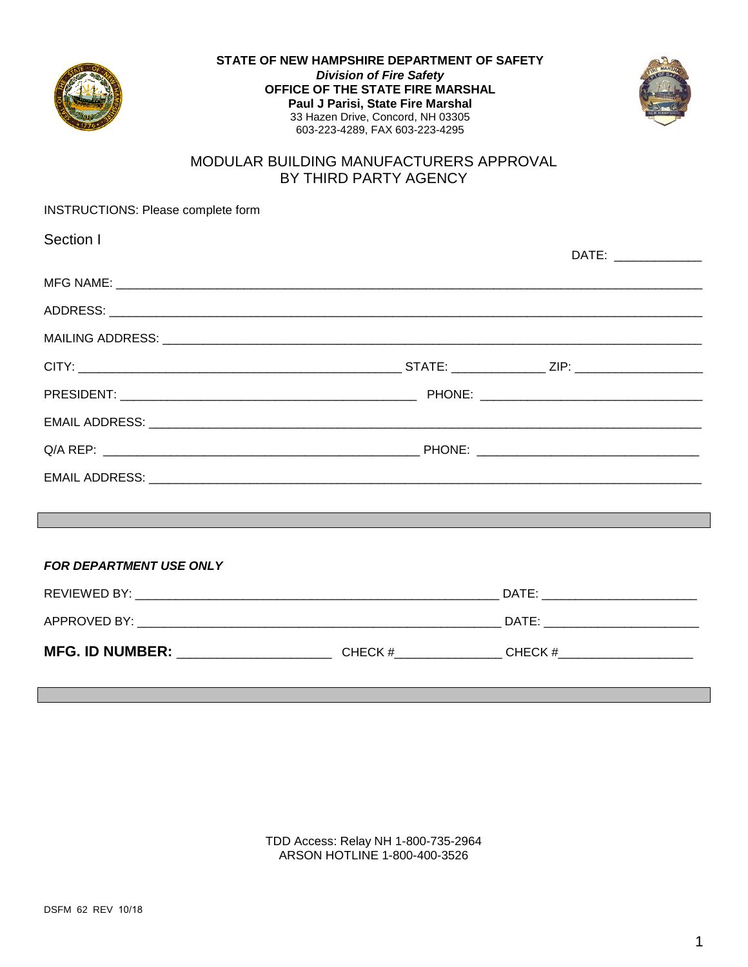



## MODULAR BUILDING MANUFACTURERS APPROVAL BY THIRD PARTY AGENCY

| INSTRUCTIONS: Please complete form                                               |                      |
|----------------------------------------------------------------------------------|----------------------|
| Section I                                                                        |                      |
|                                                                                  | DATE: ______________ |
|                                                                                  |                      |
|                                                                                  |                      |
|                                                                                  |                      |
|                                                                                  |                      |
|                                                                                  |                      |
|                                                                                  |                      |
|                                                                                  |                      |
|                                                                                  |                      |
| ,我们也不会有什么。""我们的人,我们也不会有什么?""我们的人,我们也不会有什么?""我们的人,我们也不会有什么?""我们的人,我们也不会有什么?""我们的人 |                      |
|                                                                                  |                      |
| <b>FOR DEPARTMENT USE ONLY</b>                                                   |                      |
|                                                                                  |                      |
|                                                                                  |                      |
|                                                                                  |                      |
|                                                                                  |                      |

TDD Access: Relay NH 1-800-735-2964 ARSON HOTLINE 1-800-400-3526